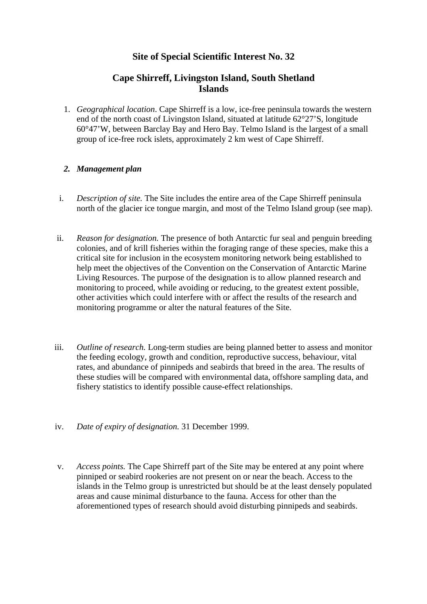# **Site of Special Scientific Interest No. 32**

## **Cape Shirreff, Livingston Island, South Shetland Islands**

1. *Geographical location*. Cape Shirreff is a low, ice-free peninsula towards the western end of the north coast of Livingston Island, situated at latitude 62°27'S, longitude 60°47'W, between Barclay Bay and Hero Bay. Telmo Island is the largest of a small group of ice-free rock islets, approximately 2 km west of Cape Shirreff.

## *2. Management plan*

- i. *Description of site.* The Site includes the entire area of the Cape Shirreff peninsula north of the glacier ice tongue margin, and most of the Telmo Island group (see map).
- ii. *Reason for designation.* The presence of both Antarctic fur seal and penguin breeding colonies, and of krill fisheries within the foraging range of these species, make this a critical site for inclusion in the ecosystem monitoring network being established to help meet the objectives of the Convention on the Conservation of Antarctic Marine Living Resources. The purpose of the designation is to allow planned research and monitoring to proceed, while avoiding or reducing, to the greatest extent possible, other activities which could interfere with or affect the results of the research and monitoring programme or alter the natural features of the Site.
- iii. *Outline of research.* Long-term studies are being planned better to assess and monitor the feeding ecology, growth and condition, reproductive success, behaviour, vital rates, and abundance of pinnipeds and seabirds that breed in the area. The results of these studies will be compared with environmental data, offshore sampling data, and fishery statistics to identify possible cause-effect relationships.
- iv. *Date of expiry of designation.* 31 December 1999.
- v. *Access points.* The Cape Shirreff part of the Site may be entered at any point where pinniped or seabird rookeries are not present on or near the beach. Access to the islands in the Telmo group is unrestricted but should be at the least densely populated areas and cause minimal disturbance to the fauna. Access for other than the aforementioned types of research should avoid disturbing pinnipeds and seabirds.